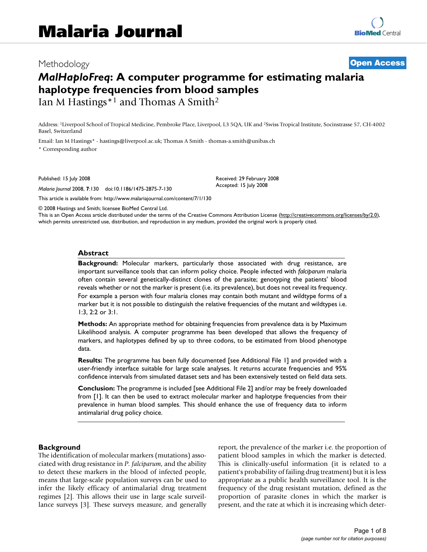# Methodology **[Open Access](http://www.biomedcentral.com/info/about/charter/)** *MalHaploFreq***: A computer programme for estimating malaria haplotype frequencies from blood samples** Ian M Hastings<sup>\*1</sup> and Thomas A Smith<sup>2</sup>

Address: 1Liverpool School of Tropical Medicine, Pembroke Place, Liverpool, L3 5QA, UK and 2Swiss Tropical Institute, Socinstrasse 57, CH-4002 Basel, Switzerland

> Received: 29 February 2008 Accepted: 15 July 2008

Email: Ian M Hastings\* - hastings@liverpool.ac.uk; Thomas A Smith - thomas-a.smith@unibas.ch

\* Corresponding author

Published: 15 July 2008

*Malaria Journal* 2008, **7**:130 doi:10.1186/1475-2875-7-130

[This article is available from: http://www.malariajournal.com/content/7/1/130](http://www.malariajournal.com/content/7/1/130)

© 2008 Hastings and Smith; licensee BioMed Central Ltd.

This is an Open Access article distributed under the terms of the Creative Commons Attribution License [\(http://creativecommons.org/licenses/by/2.0\)](http://creativecommons.org/licenses/by/2.0), which permits unrestricted use, distribution, and reproduction in any medium, provided the original work is properly cited.

#### **Abstract**

**Background:** Molecular markers, particularly those associated with drug resistance, are important surveillance tools that can inform policy choice. People infected with *falciparum* malaria often contain several genetically-distinct clones of the parasite; genotyping the patients' blood reveals whether or not the marker is present (i.e. its prevalence), but does not reveal its frequency. For example a person with four malaria clones may contain both mutant and wildtype forms of a marker but it is not possible to distinguish the relative frequencies of the mutant and wildtypes i.e. 1:3, 2:2 or 3:1.

**Methods:** An appropriate method for obtaining frequencies from prevalence data is by Maximum Likelihood analysis. A computer programme has been developed that allows the frequency of markers, and haplotypes defined by up to three codons, to be estimated from blood phenotype data.

**Results:** The programme has been fully documented [see Additional File 1] and provided with a user-friendly interface suitable for large scale analyses. It returns accurate frequencies and 95% confidence intervals from simulated dataset sets and has been extensively tested on field data sets.

**Conclusion:** The programme is included [see Additional File 2] and/or may be freely downloaded from [1]. It can then be used to extract molecular marker and haplotype frequencies from their prevalence in human blood samples. This should enhance the use of frequency data to inform antimalarial drug policy choice.

#### **Background**

The identification of molecular markers (mutations) associated with drug resistance in *P. falciparum*, and the ability to detect these markers in the blood of infected people, means that large-scale population surveys can be used to infer the likely efficacy of antimalarial drug treatment regimes [2]. This allows their use in large scale surveillance surveys [3]. These surveys measure, and generally report, the prevalence of the marker i.e. the proportion of patient blood samples in which the marker is detected. This is clinically-useful information (it is related to a patient's probability of failing drug treatment) but it is less appropriate as a public health surveillance tool. It is the frequency of the drug resistant mutation, defined as the proportion of parasite clones in which the marker is present, and the rate at which it is increasing which deter-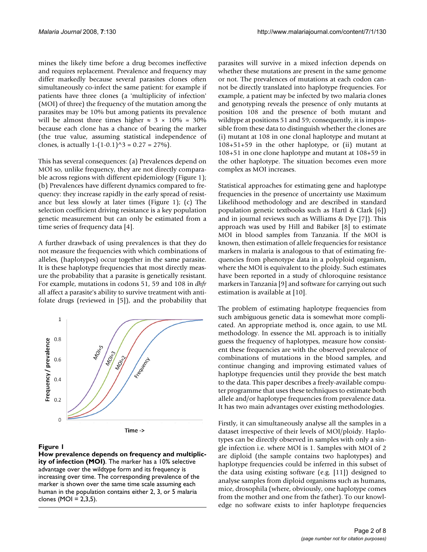mines the likely time before a drug becomes ineffective and requires replacement. Prevalence and frequency may differ markedly because several parasites clones often simultaneously co-infect the same patient: for example if patients have three clones (a 'multiplicity of infection' (MOI) of three) the frequency of the mutation among the parasites may be 10% but among patients its prevalence will be almost three times higher  $\approx$  3  $\times$  10% = 30% because each clone has a chance of bearing the marker (the true value, assuming statistical independence of clones, is actually  $1-(1-0.1)\hat{ }3 = 0.27 = 27\%$ .

This has several consequences: (a) Prevalences depend on MOI so, unlike frequency, they are not directly comparable across regions with different epidemiology (Figure 1); (b) Prevalences have different dynamics compared to frequency: they increase rapidly in the early spread of resistance but less slowly at later times (Figure 1); (c) The selection coefficient driving resistance is a key population genetic measurement but can only be estimated from a time series of frequency data [4].

A further drawback of using prevalences is that they do not measure the frequencies with which combinations of alleles, (haplotypes) occur together in the same parasite. It is these haplotype frequencies that most directly measure the probability that a parasite is genetically resistant. For example, mutations in codons 51, 59 and 108 in *dhfr* all affect a parasite's ability to survive treatment with antifolate drugs (reviewed in [5]), and the probability that



#### **Figure 1**

**How prevalence depends on frequency and multiplicity of infection (MOI)**. The marker has a 10% selective advantage over the wildtype form and its frequency is increasing over time. The corresponding prevalence of the marker is shown over the same time scale assuming each human in the population contains either 2, 3, or 5 malaria clones (MOI = 2,3,5).

parasites will survive in a mixed infection depends on whether these mutations are present in the same genome or not. The prevalences of mutations at each codon cannot be directly translated into haplotype frequencies. For example, a patient may be infected by two malaria clones and genotyping reveals the presence of only mutants at position 108 and the presence of both mutant and wildtype at positions 51 and 59; consequently, it is impossible from these data to distinguish whether the clones are (i) mutant at 108 in one clonal haplotype and mutant at 108+51+59 in the other haplotype, or (ii) mutant at 108+51 in one clone haplotype and mutant at 108+59 in the other haplotype. The situation becomes even more complex as MOI increases.

Statistical approaches for estimating gene and haplotype frequencies in the presence of uncertainty use Maximum Likelihood methodology and are described in standard population genetic textbooks such as Hartl & Clark [6]) and in journal reviews such as Williams & Dye [7]). This approach was used by Hill and Babiker [8] to estimate MOI in blood samples from Tanzania. If the MOI is known, then estimation of allele frequencies for resistance markers in malaria is analogous to that of estimating frequencies from phenotype data in a polyploid organism, where the MOI is equivalent to the ploidy. Such estimates have been reported in a study of chloroquine resistance markers in Tanzania [9] and software for carrying out such estimation is available at [10].

The problem of estimating haplotype frequencies from such ambiguous genetic data is somewhat more complicated. An appropriate method is, once again, to use ML methodology. In essence the ML approach is to initially guess the frequency of haplotypes, measure how consistent these frequencies are with the observed prevalence of combinations of mutations in the blood samples, and continue changing and improving estimated values of haplotype frequencies until they provide the best match to the data. This paper describes a freely-available computer programme that uses these techniques to estimate both allele and/or haplotype frequencies from prevalence data. It has two main advantages over existing methodologies.

Firstly, it can simultaneously analyse all the samples in a dataset irrespective of their levels of MOI/ploidy. Haplotypes can be directly observed in samples with only a single infection i.e. where MOI is 1. Samples with MOI of 2 are diploid (the sample contains two haplotypes) and haplotype frequencies could be inferred in this subset of the data using existing software (e.g. [11]) designed to analyse samples from diploid organisms such as humans, mice, drosophila (where, obviously, one haplotype comes from the mother and one from the father). To our knowledge no software exists to infer haplotype frequencies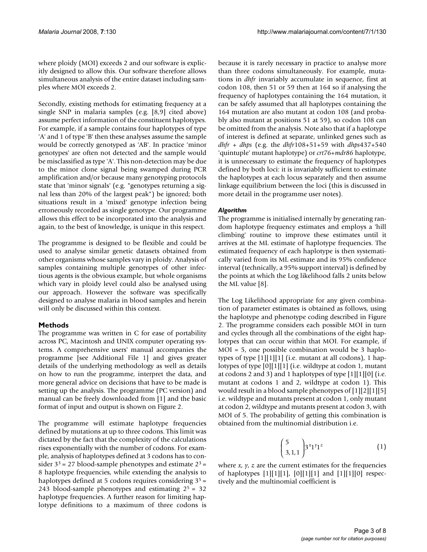where ploidy (MOI) exceeds 2 and our software is explicitly designed to allow this. Our software therefore allows simultaneous analysis of the entire dataset including samples where MOI exceeds 2.

Secondly, existing methods for estimating frequency at a single SNP in malaria samples (e.g. [8,9] cited above) assume perfect information of the constituent haplotypes. For example, if a sample contains four haplotypes of type 'A' and 1 of type 'B' then these analyses assume the sample would be correctly genotyped as 'AB'. In practice 'minor genotypes' are often not detected and the sample would be misclassified as type 'A'. This non-detection may be due to the minor clone signal being swamped during PCR amplification and/or because many genotyping protocols state that 'minor signals' (e.g. "genotypes returning a signal less than 20% of the largest peak") be ignored; both situations result in a 'mixed' genotype infection being erroneously recorded as single genotype. Our programme allows this effect to be incorporated into the analysis and again, to the best of knowledge, is unique in this respect.

The programme is designed to be flexible and could be used to analyse similar genetic datasets obtained from other organisms whose samples vary in ploidy. Analysis of samples containing multiple genotypes of other infectious agents is the obvious example, but whole organisms which vary in ploidy level could also be analysed using our approach. However the software was specifically designed to analyse malaria in blood samples and herein will only be discussed within this context.

# **Methods**

The programme was written in C for ease of portability across PC, Macintosh and UNIX computer operating systems. A comprehensive users' manual accompanies the programme [see Additional File 1] and gives greater details of the underlying methodology as well as details on how to run the programme, interpret the data, and more general advice on decisions that have to be made is setting up the analysis. The programme (PC version) and manual can be freely downloaded from [1] and the basic format of input and output is shown on Figure 2.

The programme will estimate haplotype frequencies defined by mutations at up to three codons. This limit was dictated by the fact that the complexity of the calculations rises exponentially with the number of codons. For example, analysis of haplotypes defined at 3 codons has to consider  $3^3$  = 27 blood-sample phenotypes and estimate  $2^3$  = 8 haplotype frequencies, while extending the analysis to haplotypes defined at 5 codons requires considering 3<sup>5</sup> = 243 blood-sample phenotypes and estimating  $2^5 = 32$ haplotype frequencies. A further reason for limiting haplotype definitions to a maximum of three codons is because it is rarely necessary in practice to analyse more than three codons simultaneously. For example, mutations in *dhfr* invariably accumulate in sequence, first at codon 108, then 51 or 59 then at 164 so if analysing the frequency of haplotypes containing the 164 mutation, it can be safely assumed that all haplotypes containing the 164 mutation are also mutant at codon 108 (and probably also mutant at positions 51 at 59), so codon 108 can be omitted from the analysis. Note also that if a haplotype of interest is defined at separate, unlinked genes such as *dhfr* + *dhps* (e.g. the *dhfr*108+51+59 with *dhps*437+540 'quintuple' mutant haplotype) or *crt76*+*mdr86* haplotype, it is unnecessary to estimate the frequency of haplotypes defined by both loci: it is invariably sufficient to estimate the haplotypes at each locus separately and then assume linkage equilibrium between the loci (this is discussed in more detail in the programme user notes).

#### *Algorithm*

The programme is initialised internally by generating random haplotype frequency estimates and employs a 'hill climbing' routine to improve these estimates until it arrives at the ML estimate of haplotype frequencies. The estimated frequency of each haplotype is then systematically varied from its ML estimate and its 95% confidence interval (technically, a 95% support interval) is defined by the points at which the Log likelihood falls 2 units below the ML value [8].

The Log Likelihood appropriate for any given combination of parameter estimates is obtained as follows, using the haplotype and phenotype coding described in Figure 2. The programme considers each possible MOI in turn and cycles through all the combinations of the eight haplotypes that can occur within that MOI. For example, if MOI = 5, one possible combination would be 3 haplotypes of type  $[1][1][1]$  (i.e. mutant at all codons), 1 haplotypes of type [0][1][1] (i.e. wildtype at codon 1, mutant at codons 2 and 3) and 1 haplotypes of type [1][1][0] (i.e. mutant at codons 1 and 2, wildtype at codon 1). This would result in a blood sample phenotypes of [1][2][1][5] i.e. wildtype and mutants present at codon 1, only mutant at codon 2, wildtype and mutants present at codon 3, with MOI of 5. The probability of getting this combination is obtained from the multinomial distribution i.e.

$$
\binom{5}{3,1,1} 3^{x}1^{y}1^{z} \tag{1}
$$

where  $x$ ,  $y$ ,  $z$  are the current estimates for the frequencies of haplotypes [1][1][1], [0][1][1] and [1][1][0] respectively and the multinomial coefficient is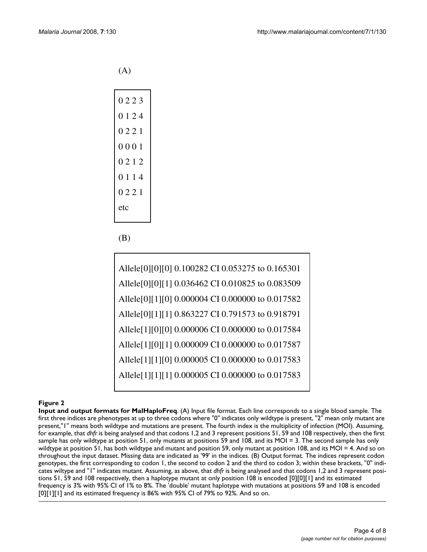(A)

| 0223    |
|---------|
| 0 1 2 4 |
| 0221    |
| 0001    |
| 0212    |
| 0114    |
| 0221    |
| etc     |
|         |

(B)

| Allele[0][0][0] 0.100282 CI 0.053275 to 0.165301 |
|--------------------------------------------------|
| Allele[0][0][1] 0.036462 CI 0.010825 to 0.083509 |
| Allele[0][1][0] 0.000004 CI 0.000000 to 0.017582 |
| Allele[0][1][1] 0.863227 CI 0.791573 to 0.918791 |
| Allele[1][0][0] 0.000006 CI 0.000000 to 0.017584 |
| Allele[1][0][1] 0.000009 CI 0.000000 to 0.017587 |
| Allele[1][1][0] 0.000005 CI 0.000000 to 0.017583 |
| Allele[1][1][1] 0.000005 CI 0.000000 to 0.017583 |

# **Figure 2**

**Input and output formats for MalHaploFreq**. (A) Input file format. Each line corresponds to a single blood sample. The first three indices are phenotypes at up to three codons where "0" indicates only wildtype is present, "2" mean only mutant are present,"1" means both wildtype and mutations are present. The fourth index is the multiplicity of infection (MOI). Assuming, for example, that *dhfr* is being analysed and that codons 1,2 and 3 represent positions 51, 59 and 108 respectively, then the first sample has only wildtype at position 51, only mutants at positions 59 and 108, and its MOI = 3. The second sample has only wildtype at position 51, has both wildtype and mutant and position 59, only mutant at position 108, and its MOI = 4. And so on throughout the input dataset. Missing data are indicated as '99' in the indices. (B) Output format. The indices represent codon genotypes, the first corresponding to codon 1, the second to codon 2 and the third to codon 3; within these brackets, "0" indicates wiltype and "1" indicates mutant. Assuming, as above, that *dhfr* is being analysed and that codons 1,2 and 3 represent positions 51, 59 and 108 respectively, then a haplotype mutant at only position 108 is encoded [0][0][1] and its estimated frequency is 3% with 95% CI of 1% to 8%. The 'double' mutant haplotype with mutations at positions 59 and 108 is encoded [0][1][1] and its estimated frequency is 86% with 95% CI of 79% to 92%. And so on.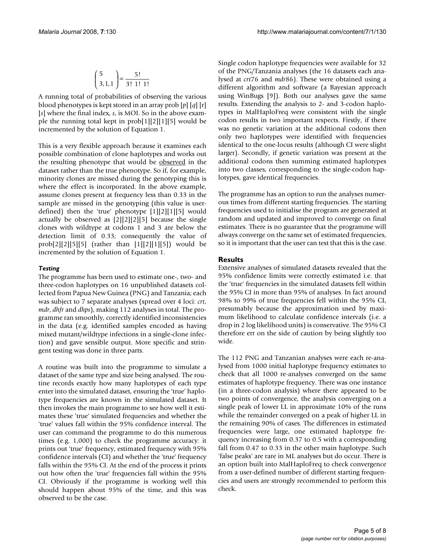$$
\binom{5}{3,1,1} = \frac{5!}{3! \ 1! \ 1!}
$$

A running total of probabilities of observing the various blood phenotypes is kept stored in an array prob [*p*] [*q*] [r] [*s*] where the final index, *s*, is MOI. So in the above example the running total kept in prob[1][2][1][5] would be incremented by the solution of Equation 1.

This is a very flexible approach because it examines each possible combination of clone haplotypes and works out the resulting phenotype that would be observed in the dataset rather than the true phenotype. So if, for example, minority clones are missed during the genotyping this is where the effect is incorporated. In the above example, assume clones present at frequency less than 0.33 in the sample are missed in the genotyping (this value is userdefined) then the 'true' phenotype [1][2][1][5] would actually be observed as [2][2][2][5] because the single clones with wildtype at codons 1 and 3 are below the detection limit of 0.33; consequently the value of prob[2][2][5][5] (rather than [1][2][1][5]) would be incremented by the solution of Equation 1.

### *Testing*

The programme has been used to estimate one-, two- and three-codon haplotypes on 16 unpublished datasets collected from Papua New Guinea (PNG) and Tanzania; each was subject to 7 separate analyses (spread over 4 loci: *crt*, *mdr*, *dhfr* and *dhps*), making 112 analyses in total. The programme ran smoothly, correctly identified inconsistencies in the data (e.g. identified samples encoded as having mixed mutant/wildtype infections in a single-clone infection) and gave sensible output. More specific and stringent testing was done in three parts.

A routine was built into the programme to simulate a dataset of the same type and size being analysed. The routine records exactly how many haplotypes of each type enter into the simulated dataset, ensuring the 'true' haplotype frequencies are known in the simulated dataset. It then invokes the main programme to see how well it estimates these 'true' simulated frequencies and whether the 'true' values fall within the 95% confidence interval. The user can command the programme to do this numerous times (e.g. 1,000) to check the programme accuracy: it prints out 'true' frequency, estimated frequency with 95% confidence intervals (CI) and whether the 'true' frequency falls within the 95% CI. At the end of the process it prints out how often the 'true' frequencies fall within the 95% CI. Obviously if the programme is working well this should happen about 95% of the time, and this was observed to be the case.

Single codon haplotype frequencies were available for 32 of the PNG/Tanzania analyses (the 16 datasets each analysed at *crt*76 and *mdr*86). These were obtained using a different algorithm and software (a Bayesian approach using WinBugs [9]). Both our analyses gave the same results. Extending the analysis to 2- and 3-codon haplotypes in MalHaploFreq were consistent with the single codon results in two important respects. Firstly, if there was no genetic variation at the additional codons then only two haplotypes were identified with frequencies identical to the one-locus results (although CI were slight larger). Secondly, if genetic variation was present at the additional codons then summing estimated haplotypes into two classes, corresponding to the single-codon haplotypes, gave identical frequencies.

The programme has an option to run the analyses numerous times from different starting frequencies. The starting frequencies used to initialise the program are generated at random and updated and improved to converge on final estimates. There is no guarantee that the programme will always converge on the same set of estimated frequencies, so it is important that the user can test that this is the case.

# **Results**

Extensive analyses of simulated datasets revealed that the 95% confidence limits were correctly estimated i.e. that the 'true' frequencies in the simulated datasets fell within the 95% CI in more than 95% of analyses. In fact around 98% to 99% of true frequencies fell within the 95% CI, presumably because the approximation used by maximum likelihood to calculate confidence intervals (i.e. a drop in 2 log likelihood units) is conservative. The 95% CI therefore err on the side of caution by being slightly too wide.

The 112 PNG and Tanzanian analyses were each re-analysed from 1000 initial haplotype frequency estimates to check that all 1000 re-analyses converged on the same estimates of haplotype frequency. There was one instance (in a three-codon analysis) where there appeared to be two points of convergence, the analysis converging on a single peak of lower LL in approximate 10% of the runs while the remainder converged on a peak of higher LL in the remaining 90% of cases. The differences in estimated frequencies were large, one estimated haplotype frequency increasing from 0.37 to 0.5 with a corresponding fall from 0.47 to 0.33 in the other main haplotype. Such 'false peaks' are rare in ML analyses but do occur. There is an option built into MalHaploFreq to check convergence from a user-defined number of different starting frequencies and users are strongly recommended to perform this check.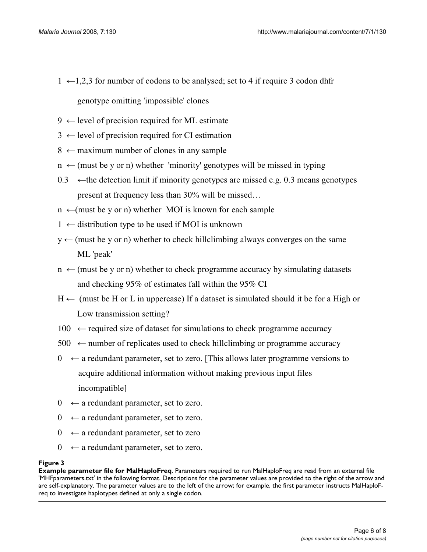- $1 \leftarrow 1,2,3$  for number of codons to be analysed; set to 4 if require 3 codon dhfr genotype omitting 'impossible' clones
- $9 \leftarrow$  level of precision required for ML estimate
- $3 \leftarrow$  level of precision required for CI estimation
- $8 \leftarrow$  maximum number of clones in any sample
- $n \leftarrow$  (must be y or n) whether 'minority' genotypes will be missed in typing
- 0.3  $\leftarrow$  the detection limit if minority genotypes are missed e.g. 0.3 means genotypes present at frequency less than  $30\%$  will be missed...
- $n \leftarrow$ (must be y or n) whether MOI is known for each sample
- $1 \leftarrow$  distribution type to be used if MOI is unknown
- $y \leftarrow$  (must be y or n) whether to check hillclimbing always converges on the same ML 'peak'
- $n \leftarrow$  (must be y or n) whether to check programme accuracy by simulating datasets and checking 95% of estimates fall within the 95% CI
- $H \leftarrow$  (must be H or L in uppercase) If a dataset is simulated should it be for a High or Low transmission setting?
- $100 \leftarrow$  required size of dataset for simulations to check programme accuracy
- $500 \leftarrow$  number of replicates used to check hillclimbing or programme accuracy
- $\theta \leftarrow$  a redundant parameter, set to zero. [This allows later programme versions to acquire additional information without making previous input files incompatible]
- $0 \leftarrow$  a redundant parameter, set to zero.
- $0 \leftarrow$  a redundant parameter, set to zero.
- $0 \leftarrow$  a redundant parameter, set to zero
- $0 \leftarrow$  a redundant parameter, set to zero.

# **Figure 3**

**Example parameter file for MalHaploFreq**. Parameters required to run MalHaploFreq are read from an external file 'MHFparameters.txt' in the following format. Descriptions for the parameter values are provided to the right of the arrow and are self-explanatory. The parameter values are to the left of the arrow; for example, the first parameter instructs MalHaploFreq to investigate haplotypes defined at only a single codon.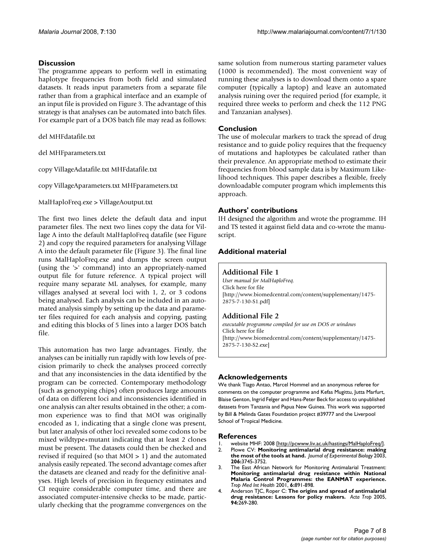### **Discussion**

The programme appears to perform well in estimating haplotype frequencies from both field and simulated datasets. It reads input parameters from a separate file rather than from a graphical interface and an example of an input file is provided on Figure 3. The advantage of this strategy is that analyses can be automated into batch files. For example part of a DOS batch file may read as follows:

del MHFdatafile.txt

del MHFparameters.txt

copy VillageAdatafile.txt MHFdatafile.txt

copy VillageAparameters.txt MHFparameters.txt

MalHaploFreq.exe > VillageAoutput.txt

The first two lines delete the default data and input parameter files. The next two lines copy the data for Village A into the default MalHaploFreq datafile (see Figure 2) and copy the required parameters for analysing Village A into the default parameter file (Figure 3). The final line runs MalHaploFreq.exe and dumps the screen output (using the '>' command) into an appropriately-named output file for future reference. A typical project will require many separate ML analyses, for example, many villages analysed at several loci with 1, 2, or 3 codons being analysed. Each analysis can be included in an automated analysis simply by setting up the data and parameter files required for each analysis and copying, pasting and editing this blocks of 5 lines into a larger DOS batch file.

This automation has two large advantages. Firstly, the analyses can be initially run rapidly with low levels of precision primarily to check the analyses proceed correctly and that any inconsistencies in the data identified by the program can be corrected. Contemporary methodology (such as genotyping chips) often produces large amounts of data on different loci and inconsistencies identified in one analysis can alter results obtained in the other; a common experience was to find that MOI was originally encoded as 1, indicating that a single clone was present, but later analysis of other loci revealed some codons to be mixed wildtype+mutant indicating that at least 2 clones must be present. The datasets could then be checked and revised if required (so that  $MOI > 1$ ) and the automated analysis easily repeated. The second advantage comes after the datasets are cleaned and ready for the definitive analyses. High levels of precision in frequency estimates and CI require considerable computer time, and there are associated computer-intensive checks to be made, particularly checking that the programme convergences on the same solution from numerous starting parameter values (1000 is recommended). The most convenient way of running these analyses is to download them onto a spare computer (typically a laptop) and leave an automated analysis ruining over the required period (for example, it required three weeks to perform and check the 112 PNG and Tanzanian analyses).

#### **Conclusion**

The use of molecular markers to track the spread of drug resistance and to guide policy requires that the frequency of mutations and haplotypes be calculated rather than their prevalence. An appropriate method to estimate their frequencies from blood sample data is by Maximum Likelihood techniques. This paper describes a flexible, freely downloadable computer program which implements this approach.

### **Authors' contributions**

IH designed the algorithm and wrote the programme. IH and TS tested it against field data and co-wrote the manuscript.

### **Additional material**

#### **Additional File 1**

*User manual for MalHaploFreq.* Click here for file [\[http://www.biomedcentral.com/content/supplementary/1475-](http://www.biomedcentral.com/content/supplementary/1475-2875-7-130-S1.pdf) 2875-7-130-S1.pdf]

# **Additional File 2**

*executable programme compiled for use on DOS or windows* Click here for file [\[http://www.biomedcentral.com/content/supplementary/1475-](http://www.biomedcentral.com/content/supplementary/1475-2875-7-130-S2.exe) 2875-7-130-S2.exe]

#### **Acknowledgements**

We thank Tiago Antao, Marcel Hommel and an anonymous referee for comments on the computer programme and Kefas Mugittu, Jutta Marfurt, Blaise Genton, Ingrid Felger and Hans-Peter Beck for access to unpublished datasets from Tanzania and Papua New Guinea. This work was supported by Bill & Melinda Gates Foundation project #39777 and the Liverpool School of Tropical Medicine.

#### **References**

- 1. website MHF: 2008 [[http://pcwww.liv.ac.uk/hastings/MalHaploFreq/\]](http://pcwww.liv.ac.uk/hastings/MalHaploFreq/).<br>2. Plowe CV: **Monitoring antimalarial drug resistance: making**
- 2. Plowe CV: **[Monitoring antimalarial drug resistance: making](http://www.ncbi.nlm.nih.gov/entrez/query.fcgi?cmd=Retrieve&db=PubMed&dopt=Abstract&list_uids=14506209) [the most of the tools at hand.](http://www.ncbi.nlm.nih.gov/entrez/query.fcgi?cmd=Retrieve&db=PubMed&dopt=Abstract&list_uids=14506209)** *Journal of Experimental Biology* 2003, **206:**3745-3752.
- 3. The East African Network for Monitoring Antimalarial Treatment: **[Monitoring antimalarial drug resistance within National](http://www.ncbi.nlm.nih.gov/entrez/query.fcgi?cmd=Retrieve&db=PubMed&dopt=Abstract&list_uids=11703843) Malaria Control Programmes: the EANMAT experience.** *Trop Med Int Health* 2001, **6:**891-898.
- 4. Anderson TJC, Roper C: **[The origins and spread of antimalarial](http://www.ncbi.nlm.nih.gov/entrez/query.fcgi?cmd=Retrieve&db=PubMed&dopt=Abstract&list_uids=15878153) [drug resistance: Lessons for policy makers.](http://www.ncbi.nlm.nih.gov/entrez/query.fcgi?cmd=Retrieve&db=PubMed&dopt=Abstract&list_uids=15878153)** *Acta Trop* 2005, **94:**269-280.